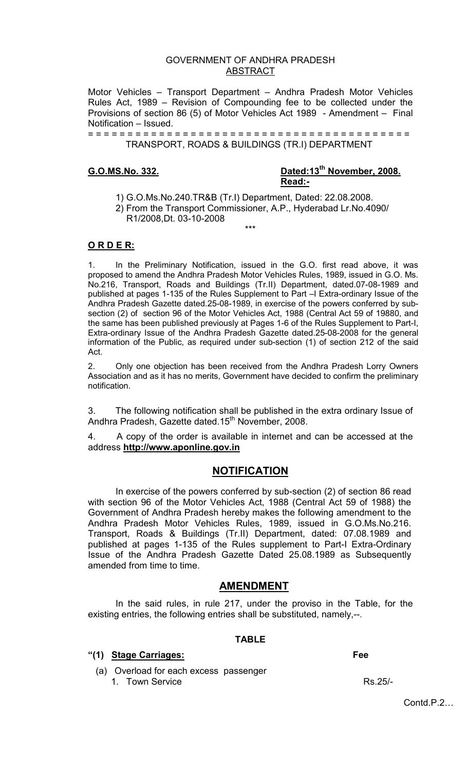## GOVERNMENT OF ANDHRA PRADESH ABSTRACT

Motor Vehicles – Transport Department – Andhra Pradesh Motor Vehicles Rules Act, 1989 – Revision of Compounding fee to be collected under the Provisions of section 86 (5) of Motor Vehicles Act 1989 - Amendment – Final Notification – Issued.

= = = = = = = = = = = = = = = = = = = = = = = = = = = = = = = = = = = = = = = = = TRANSPORT, ROADS & BUILDINGS (TR.I) DEPARTMENT

# **G.O.MS.No. 332. Dated:13th November, 2008. Read:-**

- 1) G.O.Ms.No.240.TR&B (Tr.I) Department, Dated: 22.08.2008.
- 2) From the Transport Commissioner, A.P., Hyderabad Lr.No.4090/ R1/2008,Dt. 03-10-2008 \*\*\*

### **O R D E R:**

1. In the Preliminary Notification, issued in the G.O. first read above, it was proposed to amend the Andhra Pradesh Motor Vehicles Rules, 1989, issued in G.O. Ms. No.216, Transport, Roads and Buildings (Tr.II) Department, dated.07-08-1989 and published at pages 1-135 of the Rules Supplement to Part –I Extra-ordinary Issue of the Andhra Pradesh Gazette dated.25-08-1989, in exercise of the powers conferred by subsection (2) of section 96 of the Motor Vehicles Act, 1988 (Central Act 59 of 19880, and the same has been published previously at Pages 1-6 of the Rules Supplement to Part-I, Extra-ordinary Issue of the Andhra Pradesh Gazette dated.25-08-2008 for the general information of the Public, as required under sub-section (1) of section 212 of the said Act.

2. Only one objection has been received from the Andhra Pradesh Lorry Owners Association and as it has no merits, Government have decided to confirm the preliminary notification.

3. The following notification shall be published in the extra ordinary Issue of Andhra Pradesh, Gazette dated.15<sup>th</sup> November, 2008.

4. A copy of the order is available in internet and can be accessed at the address **http://www.aponline.gov.in**

### **NOTIFICATION**

In exercise of the powers conferred by sub-section (2) of section 86 read with section 96 of the Motor Vehicles Act, 1988 (Central Act 59 of 1988) the Government of Andhra Pradesh hereby makes the following amendment to the Andhra Pradesh Motor Vehicles Rules, 1989, issued in G.O.Ms.No.216. Transport, Roads & Buildings (Tr.II) Department, dated: 07.08.1989 and published at pages 1-135 of the Rules supplement to Part-I Extra-Ordinary Issue of the Andhra Pradesh Gazette Dated 25.08.1989 as Subsequently amended from time to time.

### **AMENDMENT**

In the said rules, in rule 217, under the proviso in the Table, for the existing entries, the following entries shall be substituted, namely,--.

# **TABLE**

### **"(1) Stage Carriages: Fee**

(a) Overload for each excess passenger

1. Town Service Rs.25/-

Contd P 2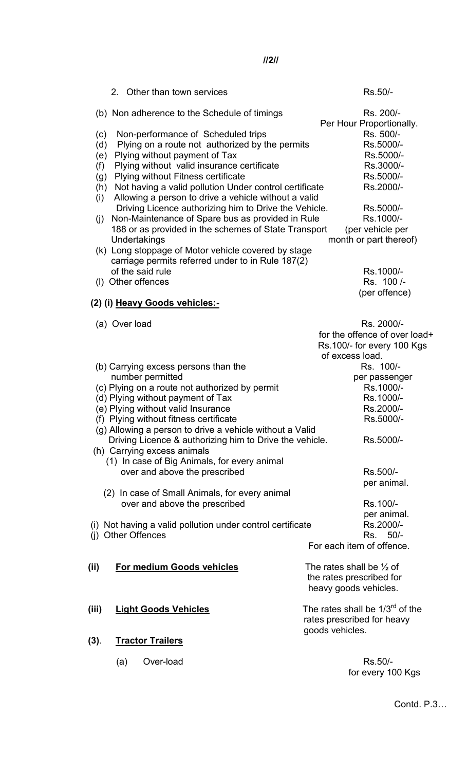2. Other than town services **RS.50/-** RS.50/-(b) Non adherence to the Schedule of timings Rs. 200/- Per Hour Proportionally. (c) Non-performance of Scheduled trips Rs. 500/-(d) Plying on a route not authorized by the permits Rs.5000/-(e) Plying without payment of Tax Rs.5000/-(f) Plying without valid insurance certificate Rs.3000/-(g) Plying without Fitness certificate Rs.5000/-(h) Not having a valid pollution Under control certificate Rs.2000/- (i) Allowing a person to drive a vehicle without a valid Driving Licence authorizing him to Drive the Vehicle. Rs.5000/-(j) Non-Maintenance of Spare bus as provided in Rule Rs.1000/-188 or as provided in the schemes of State Transport (per vehicle per Undertakings month or part thereof) (k) Long stoppage of Motor vehicle covered by stage carriage permits referred under to in Rule 187(2) of the said rule Rs.1000/-(I) Other offences Rs. 100 /- (per offence) **(2) (i) Heavy Goods vehicles:-**  (a) Over load Rs. 2000/ for the offence of over load+ Rs.100/- for every 100 Kgs of excess load. (b) Carrying excess persons than the Rs. 100/number permitted per passenger (c) Plying on a route not authorized by permit Rs.1000/-(d) Plying without payment of Tax Rs.1000/-(e) Plying without valid Insurance Rs.2000/-(f) Plying without fitness certificate Rs.5000/- (g) Allowing a person to drive a vehicle without a Valid Driving Licence & authorizing him to Drive the vehicle. Rs.5000/- (h) Carrying excess animals (1) In case of Big Animals, for every animal over and above the prescribed Rs.500/per animal. (2) In case of Small Animals, for every animal over and above the prescribed Rs.100/ per animal. (i) Not having a valid pollution under control certificate Rs.2000/-(i) Other Offences  $\overline{R}s$ . 50/- For each item of offence. **(ii)** For medium Goods vehicles The rates shall be  $\frac{1}{2}$  of the rates prescribed for heavy goods vehicles. **(iii) Light Goods Vehicles** The rates shall be 1/3rd of the rates prescribed for heavy goods vehicles. **(3)**. **Tractor Trailers** (a) Over-load Rs.50/-

Contd. P.3…

**//2//**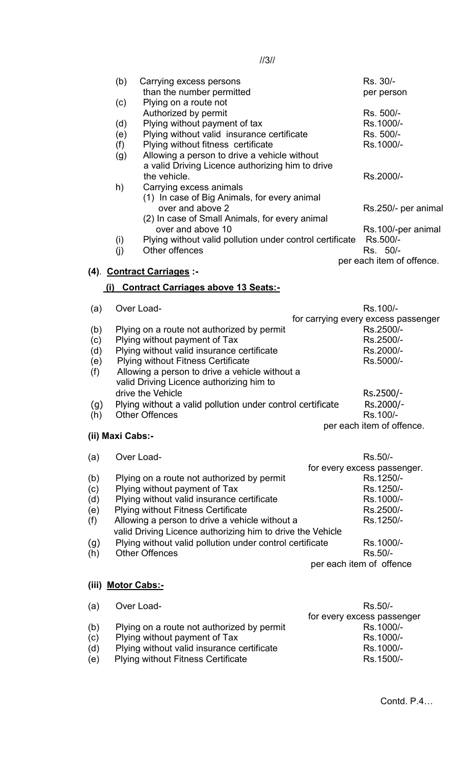| (b) | Carrying excess persons                                  | Rs. 30/-                  |
|-----|----------------------------------------------------------|---------------------------|
|     |                                                          |                           |
|     | than the number permitted                                | per person                |
| (c) | Plying on a route not                                    |                           |
|     | Authorized by permit                                     | Rs. 500/-                 |
| (d) | Plying without payment of tax                            | Rs.1000/-                 |
| (e) | Plying without valid insurance certificate               | Rs. 500/-                 |
| (f) | Plying without fitness certificate                       | Rs.1000/-                 |
| (g) | Allowing a person to drive a vehicle without             |                           |
|     | a valid Driving Licence authorizing him to drive         |                           |
|     | the vehicle.                                             | Rs.2000/-                 |
| h)  | Carrying excess animals                                  |                           |
|     | (1) In case of Big Animals, for every animal             |                           |
|     | over and above 2                                         | Rs.250/- per animal       |
|     | (2) In case of Small Animals, for every animal           |                           |
|     | over and above 10                                        | Rs.100/-per animal        |
| (i) | Plying without valid pollution under control certificate | Rs.500/-                  |
| (i) | Other offences                                           | Rs. 50/-                  |
|     |                                                          | per each item of offence. |
|     | (4) Contract Carriages :-                                |                           |
|     |                                                          |                           |
| (1) | <b>Contract Carriages above 13 Seats:-</b>               |                           |

//3//

# (a) Over Load- Rs.100/ for carrying every excess passenger (b) Plying on a route not authorized by permit Rs.2500/-(c) Plying without payment of Tax Rs.2500/-(d) Plying without valid insurance certificate Rs.2000/-(e) Plying without Fitness Certificate Rs.5000/- (f) Allowing a person to drive a vehicle without a valid Driving Licence authorizing him to drive the Vehicle **Rs.2500/-**(g) Plying without a valid pollution under control certificate Rs.2000/-<br>(h) Other Offences Rs.100/- $(h)$  Other Offences per each item of offence. **(ii) Maxi Cabs:-**

| (a)   | Over Load-                                                 | Rs.50/-                     |
|-------|------------------------------------------------------------|-----------------------------|
|       |                                                            | for every excess passenger. |
| (b)   | Plying on a route not authorized by permit                 | Rs.1250/-                   |
| (c)   | Plying without payment of Tax                              | Rs.1250/-                   |
| (d)   | Plying without valid insurance certificate                 | Rs.1000/-                   |
| (e)   | <b>Plying without Fitness Certificate</b>                  | Rs.2500/-                   |
| (f)   | Allowing a person to drive a vehicle without a             | Rs.1250/-                   |
|       | valid Driving Licence authorizing him to drive the Vehicle |                             |
| (g)   | Plying without valid pollution under control certificate   | Rs.1000/-                   |
| (h)   | <b>Other Offences</b>                                      | Rs.50/-                     |
|       |                                                            | per each item of offence    |
| (iii) | <b>Motor Cabs:-</b>                                        |                             |

| (a) | Over Load-                                 | Rs.50/-                    |
|-----|--------------------------------------------|----------------------------|
|     |                                            | for every excess passenger |
| (b) | Plying on a route not authorized by permit | Rs.1000/-                  |
| (c) | Plying without payment of Tax              | Rs.1000/-                  |
| (d) | Plying without valid insurance certificate | Rs.1000/-                  |
| (e) | <b>Plying without Fitness Certificate</b>  | Rs.1500/-                  |
|     |                                            |                            |

Contd. P.4…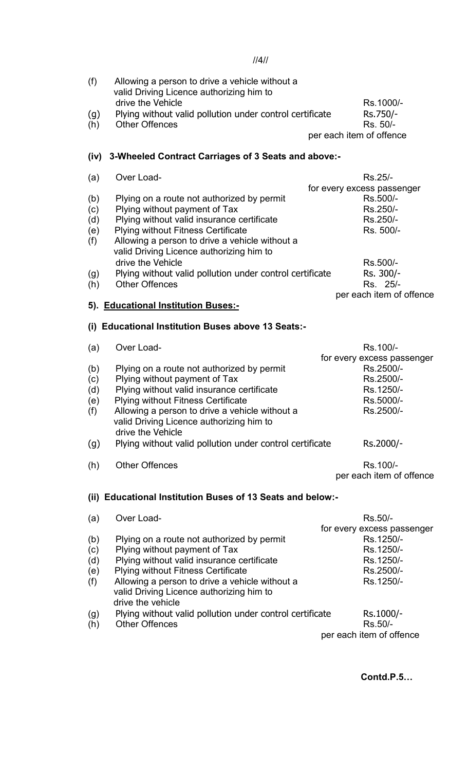//4//

| (f) | Allowing a person to drive a vehicle without a<br>valid Driving Licence authorizing him to |                          |
|-----|--------------------------------------------------------------------------------------------|--------------------------|
|     | drive the Vehicle                                                                          | Rs.1000/-                |
| (g) | Plying without valid pollution under control certificate                                   | Rs.750/-                 |
| (h) | <b>Other Offences</b>                                                                      | Rs. 50/-                 |
|     |                                                                                            | per each item of offence |

# **(iv) 3-Wheeled Contract Carriages of 3 Seats and above:-**

| (a) | Over Load-                                               | Rs.25/-                    |
|-----|----------------------------------------------------------|----------------------------|
|     |                                                          | for every excess passenger |
| (b) | Plying on a route not authorized by permit               | Rs.500/-                   |
| (c) | Plying without payment of Tax                            | Rs.250/-                   |
| (d) | Plying without valid insurance certificate               | Rs.250/-                   |
| (e) | <b>Plying without Fitness Certificate</b>                | Rs. 500/-                  |
| (f) | Allowing a person to drive a vehicle without a           |                            |
|     | valid Driving Licence authorizing him to                 |                            |
|     | drive the Vehicle                                        | Rs.500/-                   |
| (g) | Plying without valid pollution under control certificate | Rs. 300/-                  |
| (h) | <b>Other Offences</b>                                    | Rs. 25/-                   |
|     |                                                          | per each item of offence   |
|     | Educational Institution Duces.                           |                            |

# **5). Educational Institution Buses:-**

## **(i) Educational Institution Buses above 13 Seats:-**

| (a) | Over Load-                                                 | Rs.100/-                   |
|-----|------------------------------------------------------------|----------------------------|
|     |                                                            | for every excess passenger |
| (b) | Plying on a route not authorized by permit                 | Rs.2500/-                  |
| (c) | Plying without payment of Tax                              | Rs.2500/-                  |
| (d) | Plying without valid insurance certificate                 | Rs.1250/-                  |
| (e) | <b>Plying without Fitness Certificate</b>                  | Rs.5000/-                  |
| (f) | Allowing a person to drive a vehicle without a             | Rs.2500/-                  |
|     | valid Driving Licence authorizing him to                   |                            |
|     | drive the Vehicle                                          |                            |
| (g) | Plying without valid pollution under control certificate   | Rs.2000/-                  |
| (h) | <b>Other Offences</b>                                      | Rs.100/-                   |
|     |                                                            | per each item of offence   |
|     |                                                            |                            |
|     | (ii) Educational Institution Buses of 13 Seats and below:- |                            |
| (a) | Over Load-                                                 | Rs.50/-                    |
|     |                                                            | for every excess passenger |
| (b) | Plying on a route not authorized by permit                 | Rs.1250/-                  |
| (c) | Plying without payment of Tax                              | Rs.1250/-                  |
| (d) | Plying without valid insurance certificate                 | Rs.1250/-                  |
|     |                                                            |                            |

(e) Plying without Fitness Certificate Rs.2500/-<br>
(f) Allowing a person to drive a vehicle without a Rs.1250/- $(f)$  Allowing a person to drive a vehicle without a valid Driving Licence authorizing him to drive the vehicle (g) Plying without valid pollution under control certificate Rs.1000/-<br>(h) Other Offences Rs.50/- $(h)$  Other Offences

per each item of offence

**Contd.P.5…**